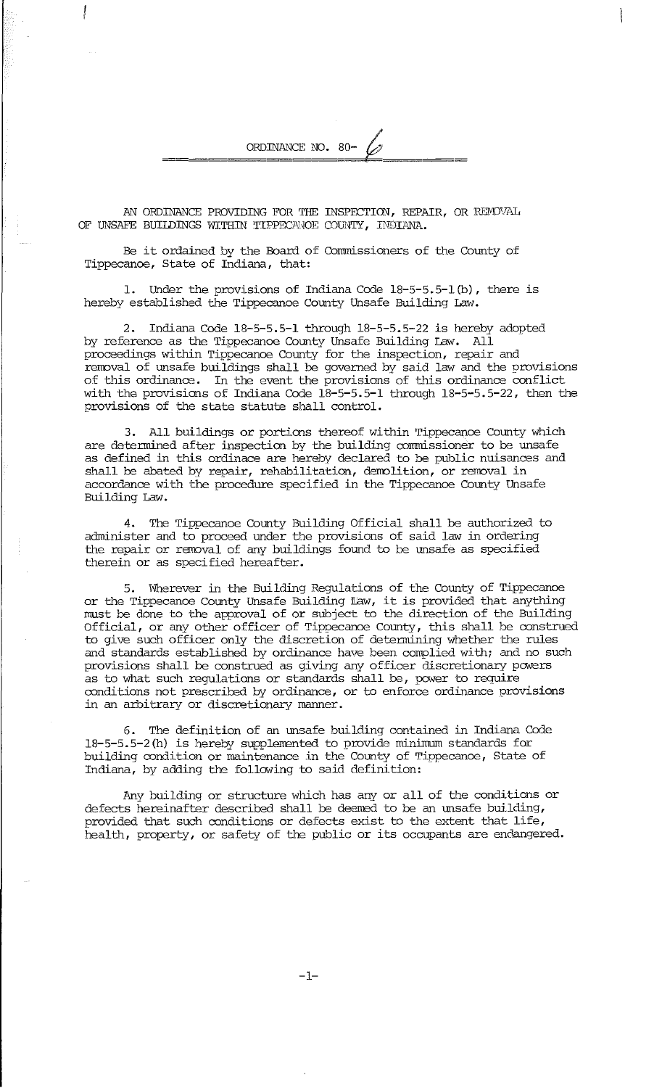AN ORDINANCE PROVIDING FOR THE INSPECTION, REPAIR, OR REMOVAL OF UNSAFE BUILDINGS WITHIN TIPPECANOE COUNTY, INDIANA.

ORDINANCE NO. 80-

Be it ordained by the Board of Commissioners of the County of Tippecanoe, State of Indiana, that:

Under the provisions of Indiana Code  $18-5-5.5-1$ (b), there is hereby established the Tippecanoe County Unsafe Building Law.

2. Indiana Code 18-5-5.5-1 through 18-5-5.5-22 is hereby adopted by reference as the Tippecanoe County Unsafe Building Law. All proceedings within Tippecanoe County for the inspection, repair and removal of unsafe buildings shall be governed by said law and the provisions of this ordinance. In the event the provisions of this ordinance conflict with the provisions of Indiana Code  $18-5-5.5-1$  through  $18-5-5.5-22$ , then the provisions of the state statute shall control.

3. All buildings or portions thereof within Tippecanoe County which are determined after inspection by the building commissioner to be unsafe as defined in this ordinace are hereby declared to be public nuisances and shall be abated by repair, rehabilitation, demolition, or removal in accordance with the procedure specified in the Tippecanoe County Unsafe Building Law.

4. The Tippecanoe county Building Official shall be authorized to administer and to proceed under the provisions of said law in ordering the repair or removal of any buildings found to be unsafe as specified therein or as specified hereafter.

5. Wherever in the Building Regulations of the County of Tippecanoe or the Tippecanoe County Unsafe Building Law, it is provided that anything must be done to the approval of or subject to the direction of the Building Official, or any other officer of Tippecanoe County, this shall be construed to give such officer only the discretion of determining whether the rules and standards established by ordinance have been complied with; and no such provisions shall be construed as giving any officer discretionary pcwers as to what such regulations or standards shall be, power to require conditions not prescribed by ordinance, or to enforce ordinance provisions in an arbitrary or discretionary manner.

6. The definition of an unsafe building contained in Indiana Code 18-5-5.5-2(h) is hereby supplerrented to provide minimum standards for building condition or maintenance in the County of Tippecanoe, State of Indiana, by adding the follcwing to said definition:

Any building or structure which has any or all of the conditions or defects hereinafter described shall be deemed to be an unsafe building, provided that such conditions or defects exist to the extent that life, health, property, or safety of the public or its occupants are endangered.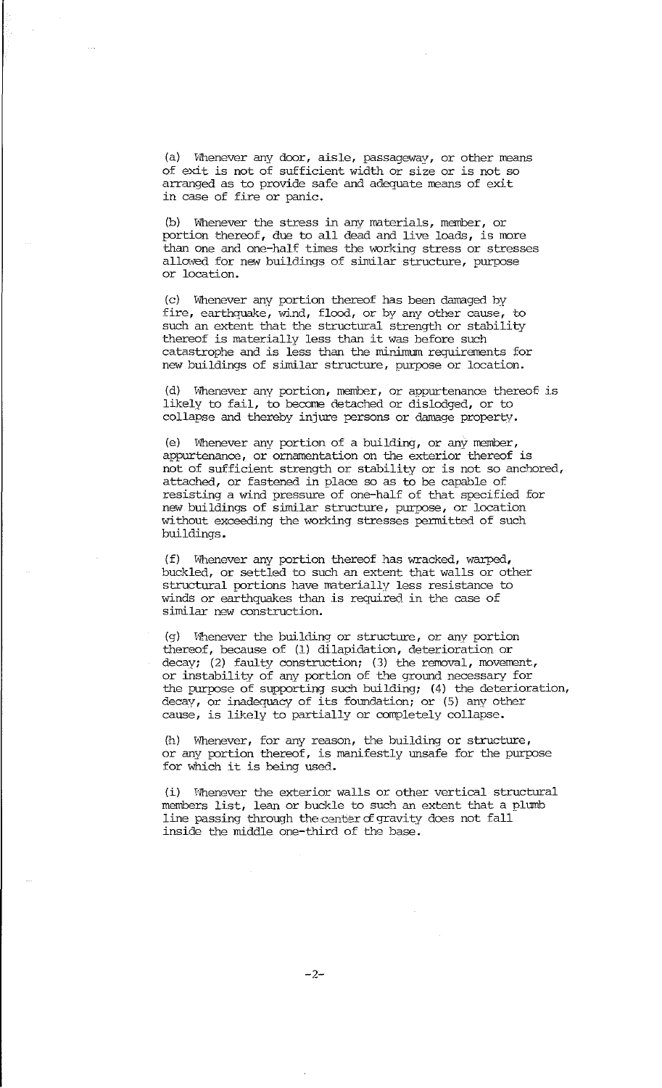(a) Whenever any door, aisle, passageway, or other means of exit is not of sufficient width or size or is not so arranged as to provide safe and adequate means of exit in case of fire or panic.

(b) Whenever the stress in any materials, member, or portion thereof, due to all dead and live loads, is more than one and one-half times the working stress or stresses allowed for new buildings of similar structure, purpose or location.

(c) Whenever any portion thereof has been damaged by fire, earthquake, wind, flood, or by any other cause, to such an extent that the structural strength or stability thereof is materially less than it was before such catastrophe and is less than the minimum requirements for new buildings of similar structure, purpose or location.

 $(d)$  Whenever any portion, member, or appurtenance thereof is likely to fail, to become detached or dislodged, or to collapse and thereby injure persons or damage property.

(e) Whenever any portion of a building, or any member, appurtenance, or ornamentation on the exterior thereof is not of sufficient strength or stability or is not so anchored, attached, or fastened in place so as to be capable of resisting a wind pressure of one-half of that specified for new buildings of similar structure, purpose, or location without exceeding the working stresses permitted of such buildings.

(f) Whenever any portion thereof has wracked, warped, buckled, or settled to such an extent that walls or other structural portions have materially less resistance to winds or earthquakes than is required in the case of similar new construction.

(g) Whenever the building or structure, or any portion thereof, because of (1) dilapidation, deterioration or decay; (2) faulty construction; (3) the removal, movement, or instability of any portion of the ground necessary for the purpose of supporting such building; (4) the deterioration, decay, or inadequacy of its foundation; or (5) any other cause, is likely to partially or completely collapse.

(h) Whenever, for any reason, the building or structure, or any portion thereof, is manifestly unsafe for the purpose for which it is being used.

(i) Whenever the exterior walls or other vertical structural members list, lean or buckle to such an extent that a plumb line passing through the center of gravity does not fall inside the middle one-third of the base.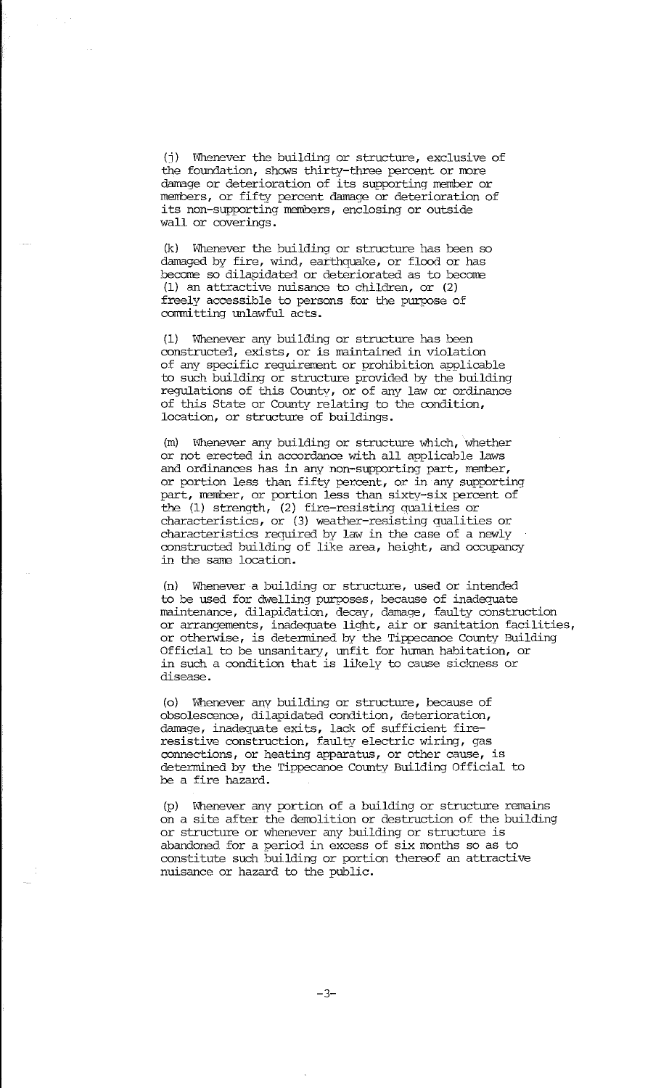(j) Whenever the building or structure, exclusive of the foundation, shows thirty-three percent or more damage or deterioration of its supporting member or members, or fifty percent damage or deterioration of its non-supporting members, enclosing or outside wall or coverings.

(k) Whenever the building or structure has been so damaged by fire, wind, earthquake, or flood or has become so dilapidated or deteriorated as to become (1) an attractive nuisance to children, or (2) freely accessible to persons for the purpose of committing unlawful acts.

(1) Whenever any building or structure has been oonstructed, exists, or is maintained in violation of any specific requirement or prohibition applicable to such building or structure provided by the building regulations of this County, or of any law or ordinance of this State or County relating to the oondition, location, or structure of buildings.

(m) Whenever any building or structure which, whether or not erected in acoordance with all applicable laws and ordinances has in any non-supporting part, member, or portion less than fifty percent, or in any supporting part, member, or portion less than sixty-six percent of the (1) strength, (2) fire-resisting aualities or characteristics, or (3) weather-resisting qualities or characteristics required by law in the case of a newly oonstructed building of like area, height, and occupancy in the same location.

(n) Whenever a building or structure, used or intended to be used for dwelling purposes, because of inadequate maintenance, dilapidation, decay, damage, faulty construction or arrangements, inadequate light, air or sanitation facilities, or otherwise, is determined by the Tippecanoe County Building Official to be unsanitary, unfit for human habitation, or in such a condition that is likely to cause sickness or disease.

(o) Whenever any building or structure, because of obsolescence, dilapidated condition, deterioration, damage, inadequate exits, lack of sufficient fireresistive construction, faulty electric wiring, gas oonnections, or heating apparatus, or other cause, is determined by the Tippecanoe County Building Official to be a fire hazard.

(p) Whenever any portion of a building or structure remains on a site after the demolition or destruction of the building or structure or whenever any building or structure is abandoned for a period in excess of six months so as to constitute such building or portion thereof an attractive nuisance or hazard to the public.